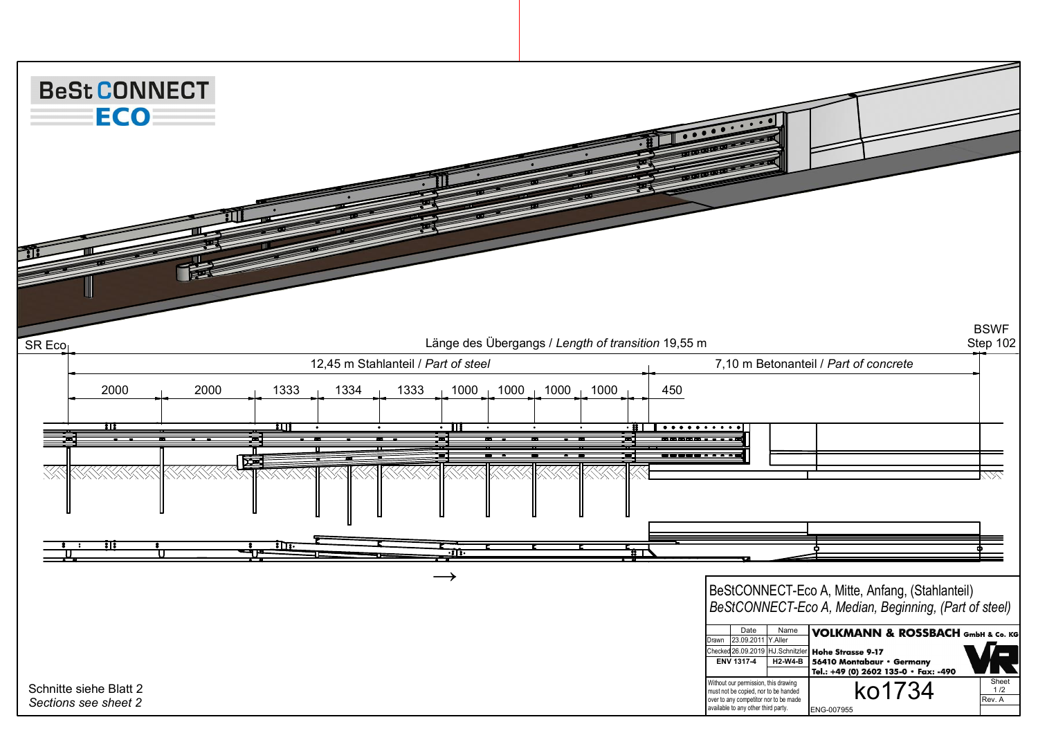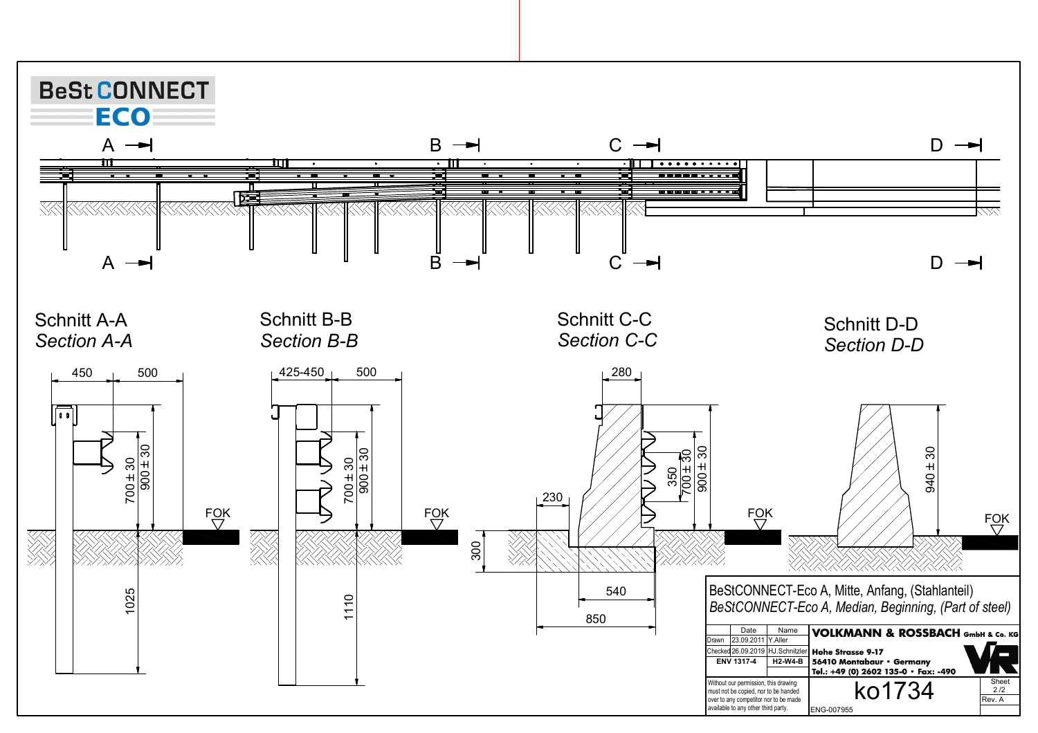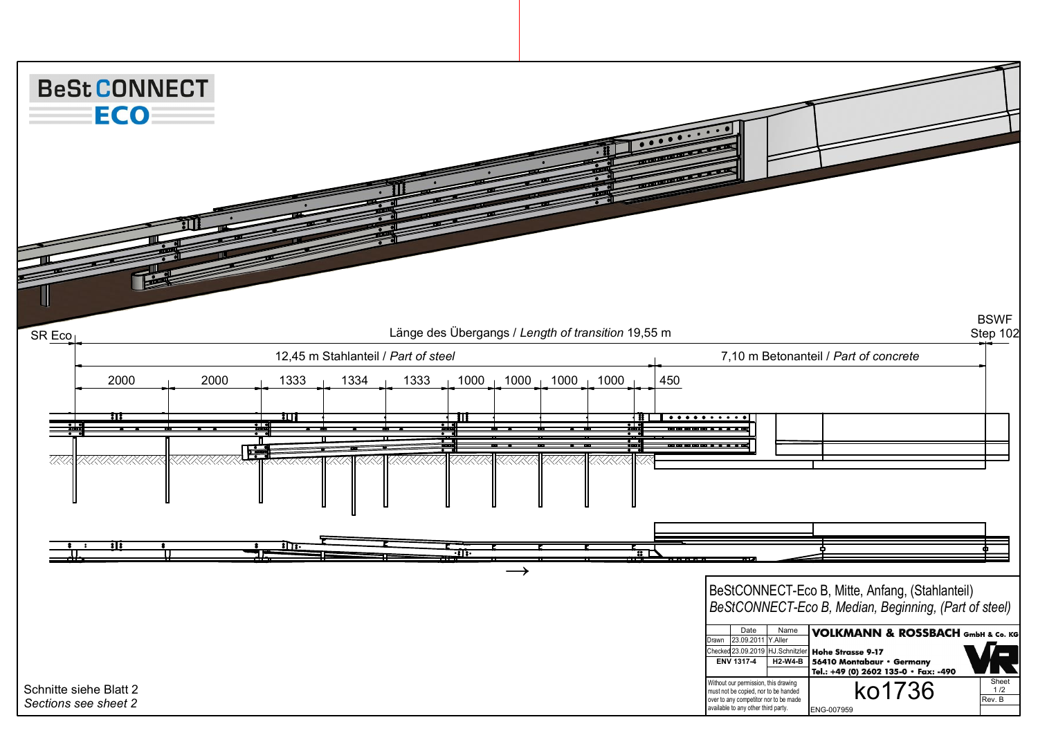